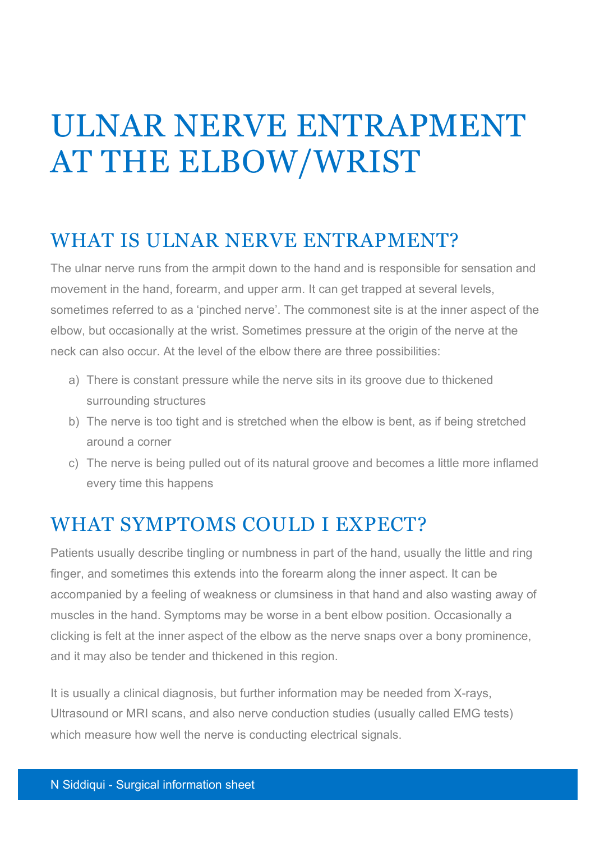# ULNAR NERVE ENTRAPMENT AT THE ELBOW/WRIST

#### WHAT IS ULNAR NERVE ENTRAPMENT?

The ulnar nerve runs from the armpit down to the hand and is responsible for sensation and movement in the hand, forearm, and upper arm. It can get trapped at several levels, sometimes referred to as a 'pinched nerve'. The commonest site is at the inner aspect of the elbow, but occasionally at the wrist. Sometimes pressure at the origin of the nerve at the neck can also occur. At the level of the elbow there are three possibilities:

- a) There is constant pressure while the nerve sits in its groove due to thickened surrounding structures
- b) The nerve is too tight and is stretched when the elbow is bent, as if being stretched around a corner
- c) The nerve is being pulled out of its natural groove and becomes a little more inflamed every time this happens

#### WHAT SYMPTOMS COULD I EXPECT?

Patients usually describe tingling or numbness in part of the hand, usually the little and ring finger, and sometimes this extends into the forearm along the inner aspect. It can be accompanied by a feeling of weakness or clumsiness in that hand and also wasting away of muscles in the hand. Symptoms may be worse in a bent elbow position. Occasionally a clicking is felt at the inner aspect of the elbow as the nerve snaps over a bony prominence, and it may also be tender and thickened in this region.

It is usually a clinical diagnosis, but further information may be needed from X-rays, Ultrasound or MRI scans, and also nerve conduction studies (usually called EMG tests) which measure how well the nerve is conducting electrical signals.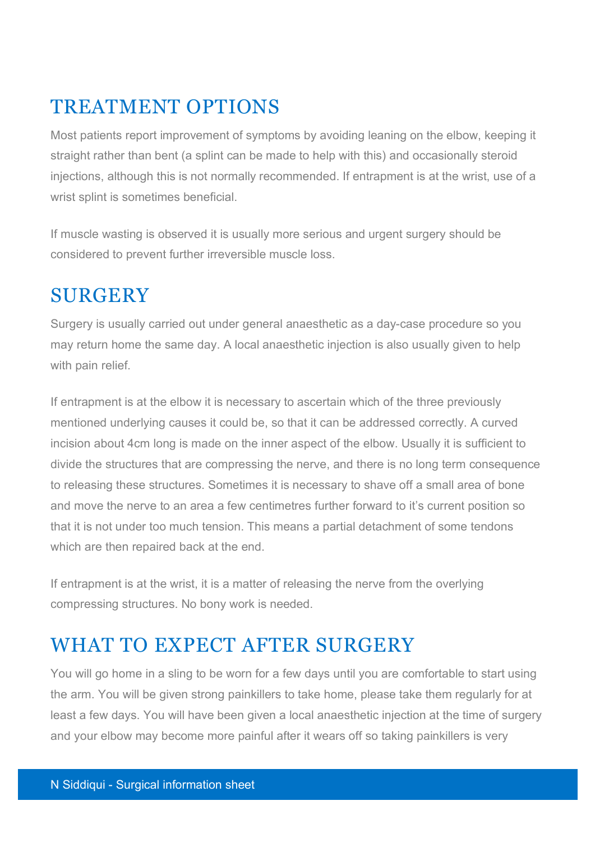### TREATMENT OPTIONS

Most patients report improvement of symptoms by avoiding leaning on the elbow, keeping it straight rather than bent (a splint can be made to help with this) and occasionally steroid injections, although this is not normally recommended. If entrapment is at the wrist, use of a wrist splint is sometimes beneficial.

If muscle wasting is observed it is usually more serious and urgent surgery should be considered to prevent further irreversible muscle loss.

# **SURGERY**

Surgery is usually carried out under general anaesthetic as a day-case procedure so you may return home the same day. A local anaesthetic injection is also usually given to help with pain relief.

If entrapment is at the elbow it is necessary to ascertain which of the three previously mentioned underlying causes it could be, so that it can be addressed correctly. A curved incision about 4cm long is made on the inner aspect of the elbow. Usually it is sufficient to divide the structures that are compressing the nerve, and there is no long term consequence to releasing these structures. Sometimes it is necessary to shave off a small area of bone and move the nerve to an area a few centimetres further forward to it's current position so that it is not under too much tension. This means a partial detachment of some tendons which are then repaired back at the end.

If entrapment is at the wrist, it is a matter of releasing the nerve from the overlying compressing structures. No bony work is needed.

## WHAT TO EXPECT AFTER SURGERY

You will go home in a sling to be worn for a few days until you are comfortable to start using the arm. You will be given strong painkillers to take home, please take them regularly for at least a few days. You will have been given a local anaesthetic injection at the time of surgery and your elbow may become more painful after it wears off so taking painkillers is very